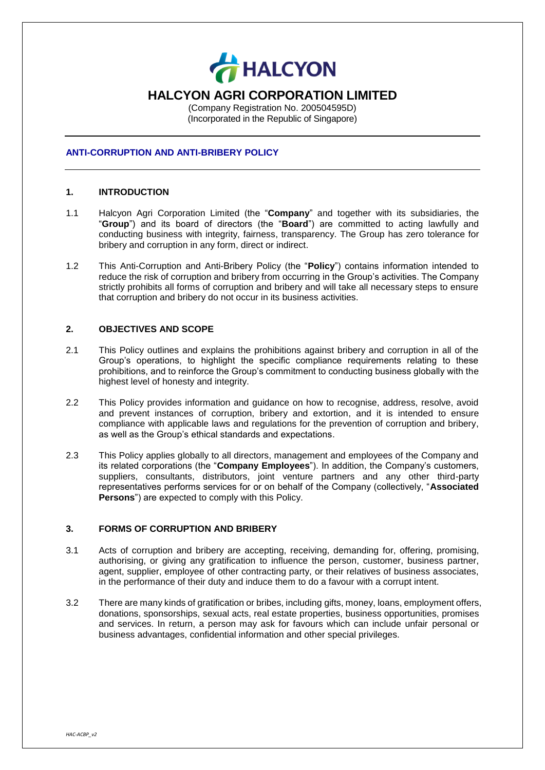

# **HALCYON AGRI CORPORATION LIMITED**

(Company Registration No. 200504595D) (Incorporated in the Republic of Singapore)

### **ANTI-CORRUPTION AND ANTI-BRIBERY POLICY**

#### **1. INTRODUCTION**

- 1.1 Halcyon Agri Corporation Limited (the "**Company**" and together with its subsidiaries, the "**Group**") and its board of directors (the "**Board**") are committed to acting lawfully and conducting business with integrity, fairness, transparency. The Group has zero tolerance for bribery and corruption in any form, direct or indirect.
- 1.2 This Anti-Corruption and Anti-Bribery Policy (the "**Policy**") contains information intended to reduce the risk of corruption and bribery from occurring in the Group's activities. The Company strictly prohibits all forms of corruption and bribery and will take all necessary steps to ensure that corruption and bribery do not occur in its business activities.

### **2. OBJECTIVES AND SCOPE**

- 2.1 This Policy outlines and explains the prohibitions against bribery and corruption in all of the Group's operations, to highlight the specific compliance requirements relating to these prohibitions, and to reinforce the Group's commitment to conducting business globally with the highest level of honesty and integrity.
- 2.2 This Policy provides information and guidance on how to recognise, address, resolve, avoid and prevent instances of corruption, bribery and extortion, and it is intended to ensure compliance with applicable laws and regulations for the prevention of corruption and bribery, as well as the Group's ethical standards and expectations.
- 2.3 This Policy applies globally to all directors, management and employees of the Company and its related corporations (the "**Company Employees**"). In addition, the Company's customers, suppliers, consultants, distributors, joint venture partners and any other third-party representatives performs services for or on behalf of the Company (collectively, "**Associated Persons**") are expected to comply with this Policy.

# **3. FORMS OF CORRUPTION AND BRIBERY**

- 3.1 Acts of corruption and bribery are accepting, receiving, demanding for, offering, promising, authorising, or giving any gratification to influence the person, customer, business partner, agent, supplier, employee of other contracting party, or their relatives of business associates, in the performance of their duty and induce them to do a favour with a corrupt intent.
- 3.2 There are many kinds of gratification or bribes, including gifts, money, loans, employment offers, donations, sponsorships, sexual acts, real estate properties, business opportunities, promises and services. In return, a person may ask for favours which can include unfair personal or business advantages, confidential information and other special privileges.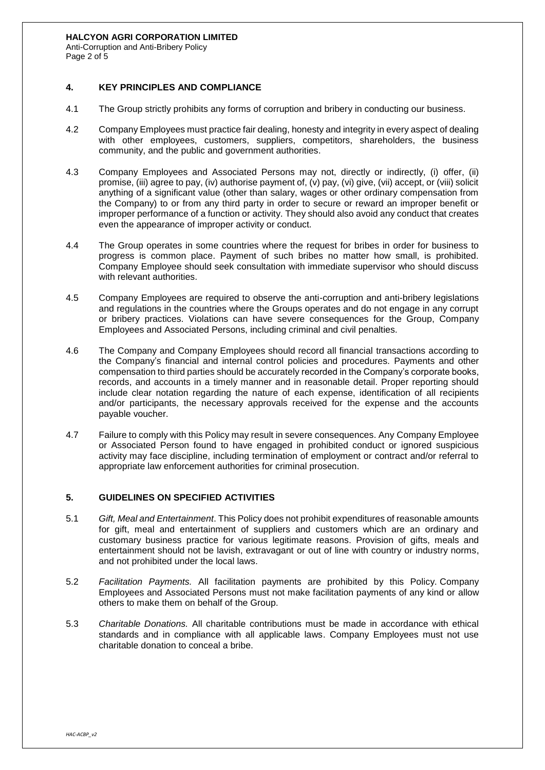#### **HALCYON AGRI CORPORATION LIMITED**

Anti-Corruption and Anti-Bribery Policy Page 2 of 5

### **4. KEY PRINCIPLES AND COMPLIANCE**

- 4.1 The Group strictly prohibits any forms of corruption and bribery in conducting our business.
- 4.2 Company Employees must practice fair dealing, honesty and integrity in every aspect of dealing with other employees, customers, suppliers, competitors, shareholders, the business community, and the public and government authorities.
- 4.3 Company Employees and Associated Persons may not, directly or indirectly, (i) offer, (ii) promise, (iii) agree to pay, (iv) authorise payment of, (v) pay, (vi) give, (vii) accept, or (viii) solicit anything of a significant value (other than salary, wages or other ordinary compensation from the Company) to or from any third party in order to secure or reward an improper benefit or improper performance of a function or activity. They should also avoid any conduct that creates even the appearance of improper activity or conduct.
- 4.4 The Group operates in some countries where the request for bribes in order for business to progress is common place. Payment of such bribes no matter how small, is prohibited. Company Employee should seek consultation with immediate supervisor who should discuss with relevant authorities.
- 4.5 Company Employees are required to observe the anti-corruption and anti-bribery legislations and regulations in the countries where the Groups operates and do not engage in any corrupt or bribery practices. Violations can have severe consequences for the Group, Company Employees and Associated Persons, including criminal and civil penalties.
- 4.6 The Company and Company Employees should record all financial transactions according to the Company's financial and internal control policies and procedures. Payments and other compensation to third parties should be accurately recorded in the Company's corporate books, records, and accounts in a timely manner and in reasonable detail. Proper reporting should include clear notation regarding the nature of each expense, identification of all recipients and/or participants, the necessary approvals received for the expense and the accounts payable voucher.
- 4.7 Failure to comply with this Policy may result in severe consequences. Any Company Employee or Associated Person found to have engaged in prohibited conduct or ignored suspicious activity may face discipline, including termination of employment or contract and/or referral to appropriate law enforcement authorities for criminal prosecution.

# **5. GUIDELINES ON SPECIFIED ACTIVITIES**

- 5.1 *Gift, Meal and Entertainment*. This Policy does not prohibit expenditures of reasonable amounts for gift, meal and entertainment of suppliers and customers which are an ordinary and customary business practice for various legitimate reasons. Provision of gifts, meals and entertainment should not be lavish, extravagant or out of line with country or industry norms, and not prohibited under the local laws.
- 5.2 *Facilitation Payments.* All facilitation payments are prohibited by this Policy. Company Employees and Associated Persons must not make facilitation payments of any kind or allow others to make them on behalf of the Group.
- 5.3 *Charitable Donations.* All charitable contributions must be made in accordance with ethical standards and in compliance with all applicable laws. Company Employees must not use charitable donation to conceal a bribe.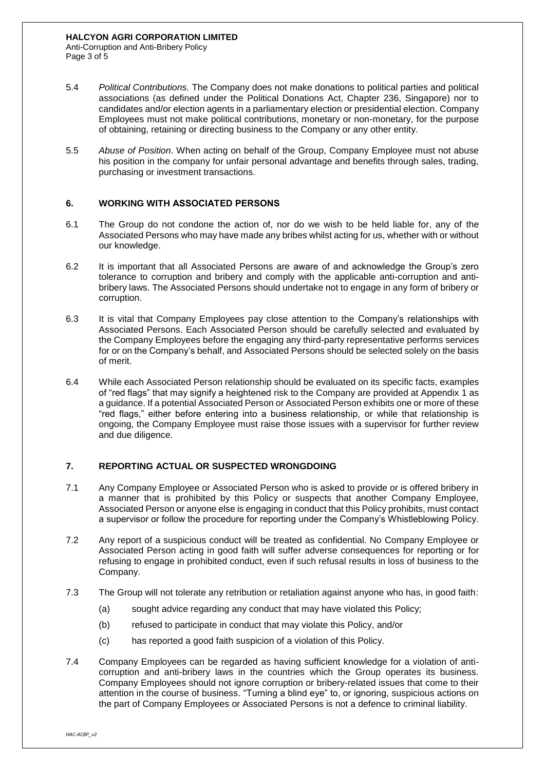Anti-Corruption and Anti-Bribery Policy Page 3 of 5

- 5.4 *Political Contributions.* The Company does not make donations to political parties and political associations (as defined under the Political Donations Act, Chapter 236, Singapore) nor to candidates and/or election agents in a parliamentary election or presidential election. Company Employees must not make political contributions, monetary or non-monetary, for the purpose of obtaining, retaining or directing business to the Company or any other entity.
- 5.5 *Abuse of Position*. When acting on behalf of the Group, Company Employee must not abuse his position in the company for unfair personal advantage and benefits through sales, trading, purchasing or investment transactions.

# **6. WORKING WITH ASSOCIATED PERSONS**

- 6.1 The Group do not condone the action of, nor do we wish to be held liable for, any of the Associated Persons who may have made any bribes whilst acting for us, whether with or without our knowledge.
- 6.2 It is important that all Associated Persons are aware of and acknowledge the Group's zero tolerance to corruption and bribery and comply with the applicable anti-corruption and antibribery laws. The Associated Persons should undertake not to engage in any form of bribery or corruption.
- 6.3 It is vital that Company Employees pay close attention to the Company's relationships with Associated Persons. Each Associated Person should be carefully selected and evaluated by the Company Employees before the engaging any third-party representative performs services for or on the Company's behalf, and Associated Persons should be selected solely on the basis of merit.
- 6.4 While each Associated Person relationship should be evaluated on its specific facts, examples of "red flags" that may signify a heightened risk to the Company are provided at Appendix 1 as a guidance. If a potential Associated Person or Associated Person exhibits one or more of these "red flags," either before entering into a business relationship, or while that relationship is ongoing, the Company Employee must raise those issues with a supervisor for further review and due diligence.

# **7. REPORTING ACTUAL OR SUSPECTED WRONGDOING**

- 7.1 Any Company Employee or Associated Person who is asked to provide or is offered bribery in a manner that is prohibited by this Policy or suspects that another Company Employee, Associated Person or anyone else is engaging in conduct that this Policy prohibits, must contact a supervisor or follow the procedure for reporting under the Company's Whistleblowing Policy.
- 7.2 Any report of a suspicious conduct will be treated as confidential. No Company Employee or Associated Person acting in good faith will suffer adverse consequences for reporting or for refusing to engage in prohibited conduct, even if such refusal results in loss of business to the Company.
- 7.3 The Group will not tolerate any retribution or retaliation against anyone who has, in good faith:
	- (a) sought advice regarding any conduct that may have violated this Policy;
	- (b) refused to participate in conduct that may violate this Policy, and/or
	- (c) has reported a good faith suspicion of a violation of this Policy.
- 7.4 Company Employees can be regarded as having sufficient knowledge for a violation of anticorruption and anti-bribery laws in the countries which the Group operates its business. Company Employees should not ignore corruption or bribery-related issues that come to their attention in the course of business. "Turning a blind eye" to, or ignoring, suspicious actions on the part of Company Employees or Associated Persons is not a defence to criminal liability.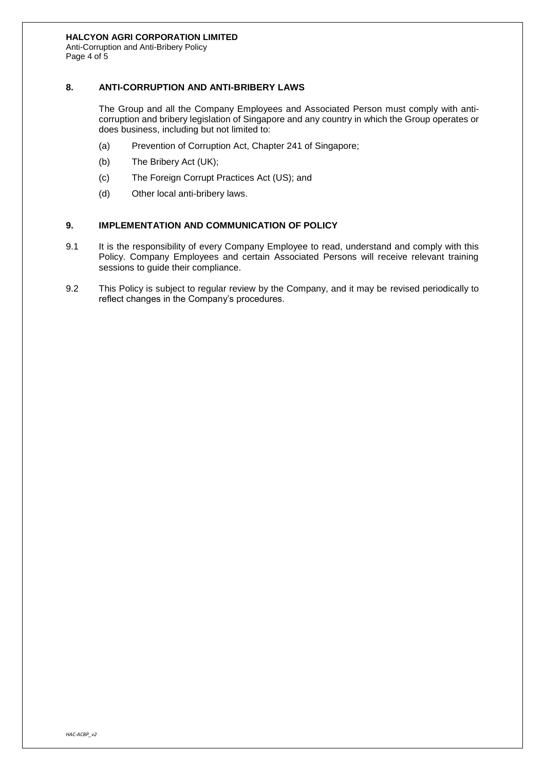#### **HALCYON AGRI CORPORATION LIMITED**

Anti-Corruption and Anti-Bribery Policy Page 4 of 5

# **8. ANTI-CORRUPTION AND ANTI-BRIBERY LAWS**

The Group and all the Company Employees and Associated Person must comply with anticorruption and bribery legislation of Singapore and any country in which the Group operates or does business, including but not limited to:

- (a) Prevention of Corruption Act, Chapter 241 of Singapore;
- (b) The Bribery Act (UK);
- (c) The Foreign Corrupt Practices Act (US); and
- (d) Other local anti-bribery laws.

# **9. IMPLEMENTATION AND COMMUNICATION OF POLICY**

- 9.1 It is the responsibility of every Company Employee to read, understand and comply with this Policy. Company Employees and certain Associated Persons will receive relevant training sessions to guide their compliance.
- 9.2 This Policy is subject to regular review by the Company, and it may be revised periodically to reflect changes in the Company's procedures.